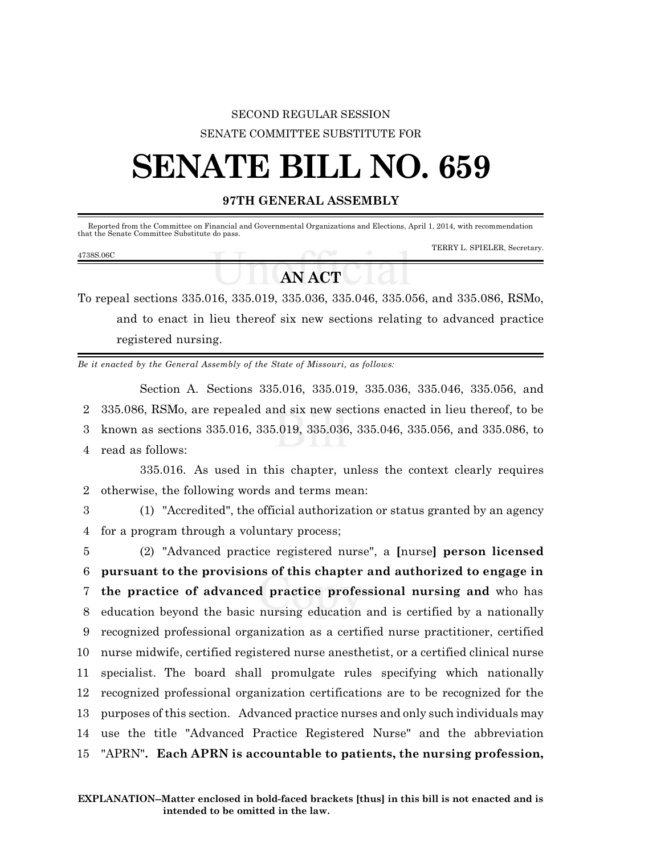### SECOND REGULAR SESSION SENATE COMMITTEE SUBSTITUTE FOR

# **SENATE BILL NO. 659**

#### **97TH GENERAL ASSEMBLY**

| that the Senate Committee Substitute do pass. |  | Reported from the Committee on Financial and Governmental Organizations and Elections, April 1, 2014, with recommendation |
|-----------------------------------------------|--|---------------------------------------------------------------------------------------------------------------------------|
| 4738S.06C                                     |  | TERRY L. SPIELER, Secretary.                                                                                              |

## **AN ACT**

To repeal sections 335.016, 335.019, 335.036, 335.046, 335.056, and 335.086, RSMo, and to enact in lieu thereof six new sections relating to advanced practice registered nursing.

*Be it enacted by the General Assembly of the State of Missouri, as follows:*

Section A. Sections 335.016, 335.019, 335.036, 335.046, 335.056, and 335.086, RSMo, are repealed and six new sections enacted in lieu thereof, to be known as sections 335.016, 335.019, 335.036, 335.046, 335.056, and 335.086, to read as follows:

335.016. As used in this chapter, unless the context clearly requires 2 otherwise, the following words and terms mean:

3 (1) "Accredited", the official authorization or status granted by an agency 4 for a program through a voluntary process;

 (2) "Advanced practice registered nurse", a **[**nurse**] person licensed pursuant to the provisions of this chapter and authorized to engage in the practice of advanced practice professional nursing and** who has education beyond the basic nursing education and is certified by a nationally recognized professional organization as a certified nurse practitioner, certified nurse midwife, certified registered nurse anesthetist, or a certified clinical nurse specialist. The board shall promulgate rules specifying which nationally recognized professional organization certifications are to be recognized for the purposes of this section. Advanced practice nurses and only such individuals may use the title "Advanced Practice Registered Nurse" and the abbreviation "APRN"**. Each APRN is accountable to patients, the nursing profession,**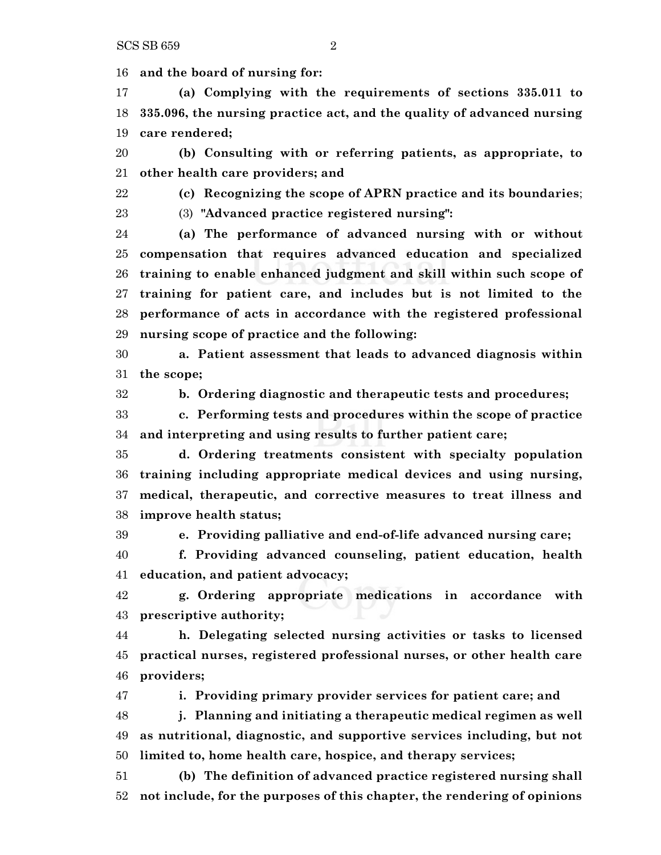**and the board of nursing for:**

 **(a) Complying with the requirements of sections 335.011 to 335.096, the nursing practice act, and the quality of advanced nursing care rendered;**

 **(b) Consulting with or referring patients, as appropriate, to other health care providers; and**

**(c) Recognizing the scope of APRN practice and its boundaries**;

(3) **"Advanced practice registered nursing":**

 **(a) The performance of advanced nursing with or without compensation that requires advanced education and specialized training to enable enhanced judgment and skill within such scope of training for patient care, and includes but is not limited to the performance of acts in accordance with the registered professional nursing scope of practice and the following:**

 **a. Patient assessment that leads to advanced diagnosis within the scope;**

**b. Ordering diagnostic and therapeutic tests and procedures;**

 **c. Performing tests and procedures within the scope of practice and interpreting and using results to further patient care;**

 **d. Ordering treatments consistent with specialty population training including appropriate medical devices and using nursing, medical, therapeutic, and corrective measures to treat illness and improve health status;**

**e. Providing palliative and end-of-life advanced nursing care;**

 **f. Providing advanced counseling, patient education, health education, and patient advocacy;**

 **g. Ordering appropriate medications in accordance with prescriptive authority;**

 **h. Delegating selected nursing activities or tasks to licensed practical nurses, registered professional nurses, or other health care providers;**

**i. Providing primary provider services for patient care; and**

 **j. Planning and initiating a therapeutic medical regimen as well as nutritional, diagnostic, and supportive services including, but not limited to, home health care, hospice, and therapy services;**

 **(b) The definition of advanced practice registered nursing shall not include, for the purposes of this chapter, the rendering of opinions**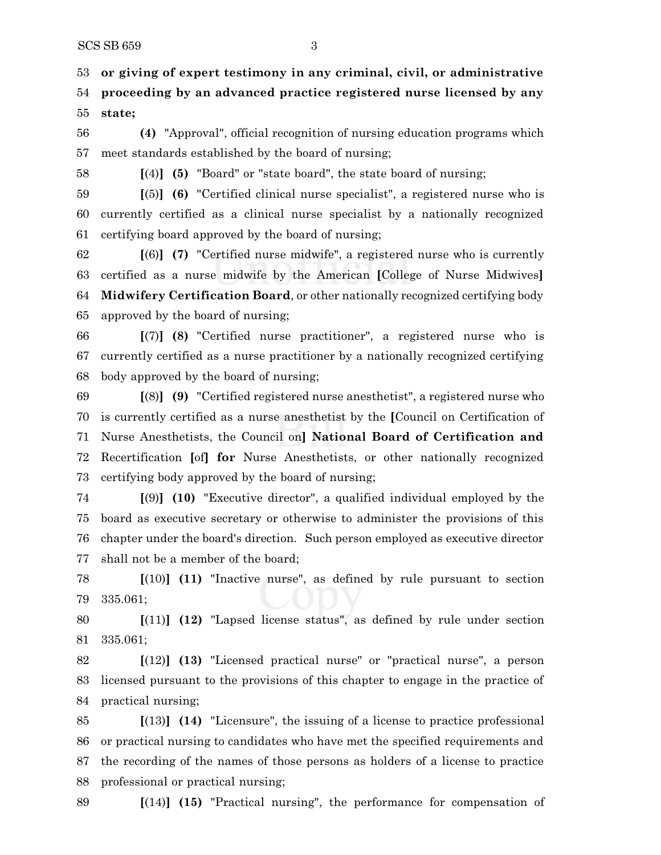**or giving of expert testimony in any criminal, civil, or administrative proceeding by an advanced practice registered nurse licensed by any state;**

 **(4)** "Approval", official recognition of nursing education programs which meet standards established by the board of nursing;

**[**(4)**] (5)** "Board" or "state board", the state board of nursing;

 **[**(5)**] (6)** "Certified clinical nurse specialist", a registered nurse who is currently certified as a clinical nurse specialist by a nationally recognized certifying board approved by the board of nursing;

 **[**(6)**] (7)** "Certified nurse midwife", a registered nurse who is currently certified as a nurse midwife by the American **[**College of Nurse Midwives**] Midwifery Certification Board**, or other nationally recognized certifying body approved by the board of nursing;

 **[**(7)**] (8)** "Certified nurse practitioner", a registered nurse who is currently certified as a nurse practitioner by a nationally recognized certifying body approved by the board of nursing;

 **[**(8)**] (9)** "Certified registered nurse anesthetist", a registered nurse who is currently certified as a nurse anesthetist by the **[**Council on Certification of Nurse Anesthetists, the Council on**] National Board of Certification and** Recertification **[**of**] for** Nurse Anesthetists, or other nationally recognized certifying body approved by the board of nursing;

 **[**(9)**] (10)** "Executive director", a qualified individual employed by the board as executive secretary or otherwise to administer the provisions of this chapter under the board's direction. Such person employed as executive director shall not be a member of the board;

 **[**(10)**] (11)** "Inactive nurse", as defined by rule pursuant to section 335.061;

 **[**(11)**] (12)** "Lapsed license status", as defined by rule under section 335.061;

 **[**(12)**] (13)** "Licensed practical nurse" or "practical nurse", a person licensed pursuant to the provisions of this chapter to engage in the practice of practical nursing;

 **[**(13)**] (14)** "Licensure", the issuing of a license to practice professional or practical nursing to candidates who have met the specified requirements and the recording of the names of those persons as holders of a license to practice professional or practical nursing;

**[**(14)**] (15)** "Practical nursing", the performance for compensation of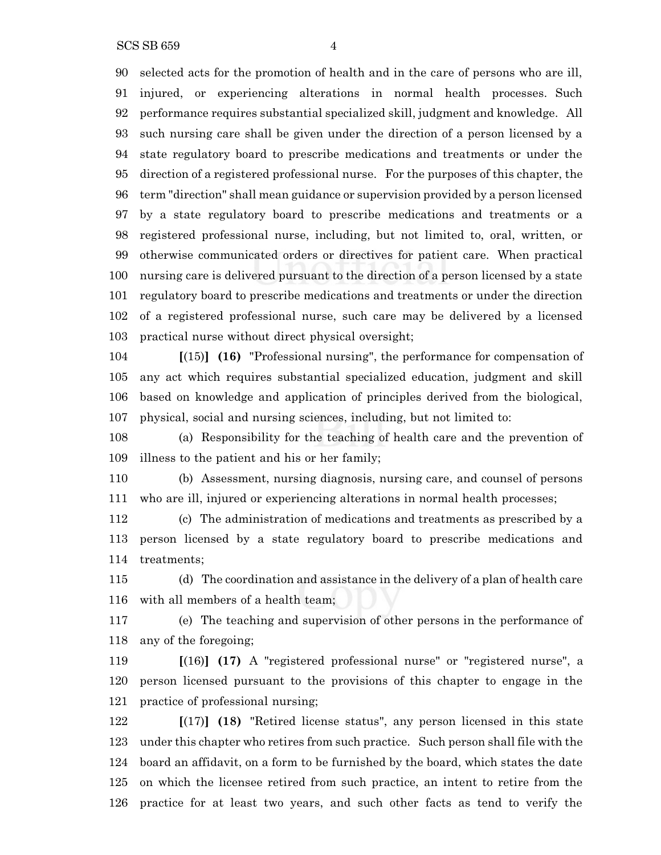selected acts for the promotion of health and in the care of persons who are ill, injured, or experiencing alterations in normal health processes. Such performance requires substantial specialized skill, judgment and knowledge. All such nursing care shall be given under the direction of a person licensed by a state regulatory board to prescribe medications and treatments or under the direction of a registered professional nurse. For the purposes of this chapter, the term "direction" shall mean guidance or supervision provided by a person licensed by a state regulatory board to prescribe medications and treatments or a registered professional nurse, including, but not limited to, oral, written, or otherwise communicated orders or directives for patient care. When practical nursing care is delivered pursuant to the direction of a person licensed by a state regulatory board to prescribe medications and treatments or under the direction of a registered professional nurse, such care may be delivered by a licensed practical nurse without direct physical oversight;

 **[**(15)**] (16)** "Professional nursing", the performance for compensation of any act which requires substantial specialized education, judgment and skill based on knowledge and application of principles derived from the biological, physical, social and nursing sciences, including, but not limited to:

 (a) Responsibility for the teaching of health care and the prevention of illness to the patient and his or her family;

 (b) Assessment, nursing diagnosis, nursing care, and counsel of persons who are ill, injured or experiencing alterations in normal health processes;

 (c) The administration of medications and treatments as prescribed by a person licensed by a state regulatory board to prescribe medications and treatments;

 (d) The coordination and assistance in the delivery of a plan of health care with all members of a health team;

 (e) The teaching and supervision of other persons in the performance of any of the foregoing;

 **[**(16)**] (17)** A "registered professional nurse" or "registered nurse", a person licensed pursuant to the provisions of this chapter to engage in the practice of professional nursing;

 **[**(17)**] (18)** "Retired license status", any person licensed in this state under this chapter who retires from such practice. Such person shall file with the board an affidavit, on a form to be furnished by the board, which states the date on which the licensee retired from such practice, an intent to retire from the practice for at least two years, and such other facts as tend to verify the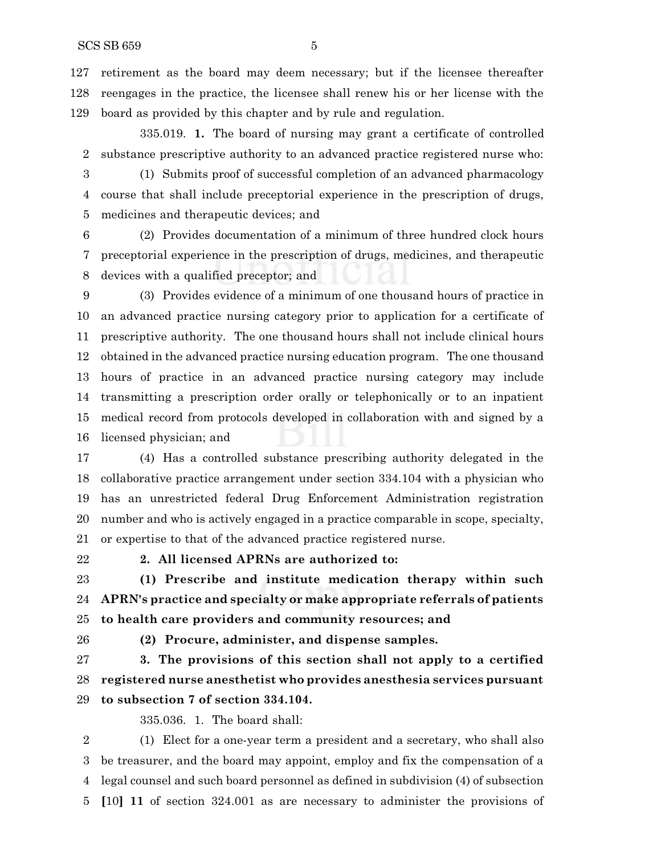retirement as the board may deem necessary; but if the licensee thereafter reengages in the practice, the licensee shall renew his or her license with the board as provided by this chapter and by rule and regulation.

335.019. **1.** The board of nursing may grant a certificate of controlled substance prescriptive authority to an advanced practice registered nurse who:

 (1) Submits proof of successful completion of an advanced pharmacology course that shall include preceptorial experience in the prescription of drugs, medicines and therapeutic devices; and

 (2) Provides documentation of a minimum of three hundred clock hours preceptorial experience in the prescription of drugs, medicines, and therapeutic devices with a qualified preceptor; and

 (3) Provides evidence of a minimum of one thousand hours of practice in an advanced practice nursing category prior to application for a certificate of prescriptive authority. The one thousand hours shall not include clinical hours obtained in the advanced practice nursing education program. The one thousand hours of practice in an advanced practice nursing category may include transmitting a prescription order orally or telephonically or to an inpatient medical record from protocols developed in collaboration with and signed by a licensed physician; and

 (4) Has a controlled substance prescribing authority delegated in the collaborative practice arrangement under section 334.104 with a physician who has an unrestricted federal Drug Enforcement Administration registration number and who is actively engaged in a practice comparable in scope, specialty, or expertise to that of the advanced practice registered nurse.

#### **2. All licensed APRNs are authorized to:**

 **(1) Prescribe and institute medication therapy within such APRN's practice and specialty or make appropriate referrals of patients to health care providers and community resources; and**

**(2) Procure, administer, and dispense samples.**

 **3. The provisions of this section shall not apply to a certified registered nurse anesthetist who provides anesthesia services pursuant to subsection 7 of section 334.104.**

335.036. 1. The board shall:

 (1) Elect for a one-year term a president and a secretary, who shall also be treasurer, and the board may appoint, employ and fix the compensation of a legal counsel and such board personnel as defined in subdivision (4) of subsection **[**10**] 11** of section 324.001 as are necessary to administer the provisions of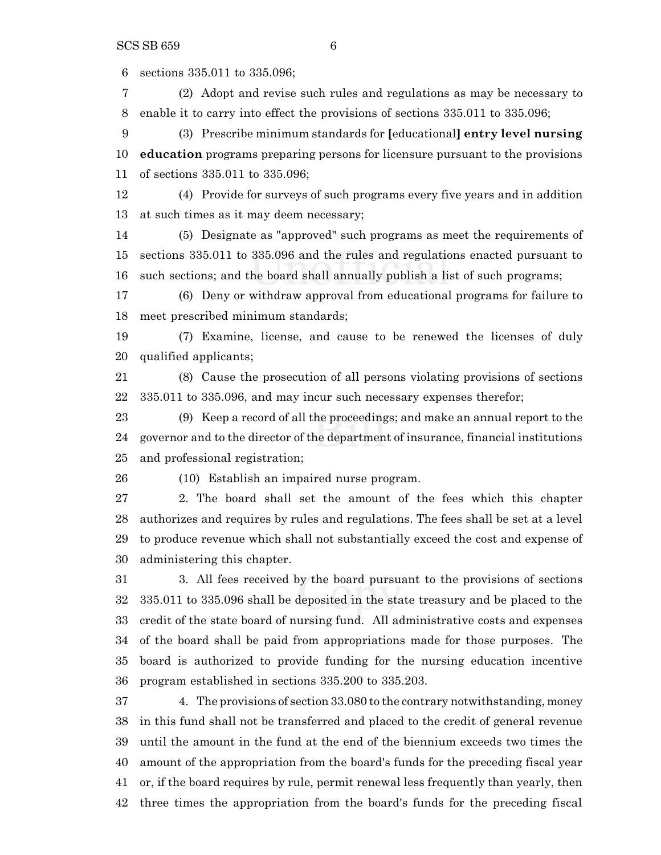sections 335.011 to 335.096;

 (2) Adopt and revise such rules and regulations as may be necessary to enable it to carry into effect the provisions of sections 335.011 to 335.096;

 (3) Prescribe minimum standards for **[**educational**] entry level nursing education** programs preparing persons for licensure pursuant to the provisions of sections 335.011 to 335.096;

 (4) Provide for surveys of such programs every five years and in addition at such times as it may deem necessary;

 (5) Designate as "approved" such programs as meet the requirements of sections 335.011 to 335.096 and the rules and regulations enacted pursuant to such sections; and the board shall annually publish a list of such programs;

 (6) Deny or withdraw approval from educational programs for failure to meet prescribed minimum standards;

 (7) Examine, license, and cause to be renewed the licenses of duly qualified applicants;

 (8) Cause the prosecution of all persons violating provisions of sections 335.011 to 335.096, and may incur such necessary expenses therefor;

 (9) Keep a record of all the proceedings; and make an annual report to the governor and to the director of the department of insurance, financial institutions and professional registration;

(10) Establish an impaired nurse program.

 2. The board shall set the amount of the fees which this chapter authorizes and requires by rules and regulations. The fees shall be set at a level to produce revenue which shall not substantially exceed the cost and expense of administering this chapter.

 3. All fees received by the board pursuant to the provisions of sections 335.011 to 335.096 shall be deposited in the state treasury and be placed to the credit of the state board of nursing fund. All administrative costs and expenses of the board shall be paid from appropriations made for those purposes. The board is authorized to provide funding for the nursing education incentive program established in sections 335.200 to 335.203.

 4. The provisions of section 33.080 to the contrary notwithstanding, money in this fund shall not be transferred and placed to the credit of general revenue until the amount in the fund at the end of the biennium exceeds two times the amount of the appropriation from the board's funds for the preceding fiscal year or, if the board requires by rule, permit renewal less frequently than yearly, then three times the appropriation from the board's funds for the preceding fiscal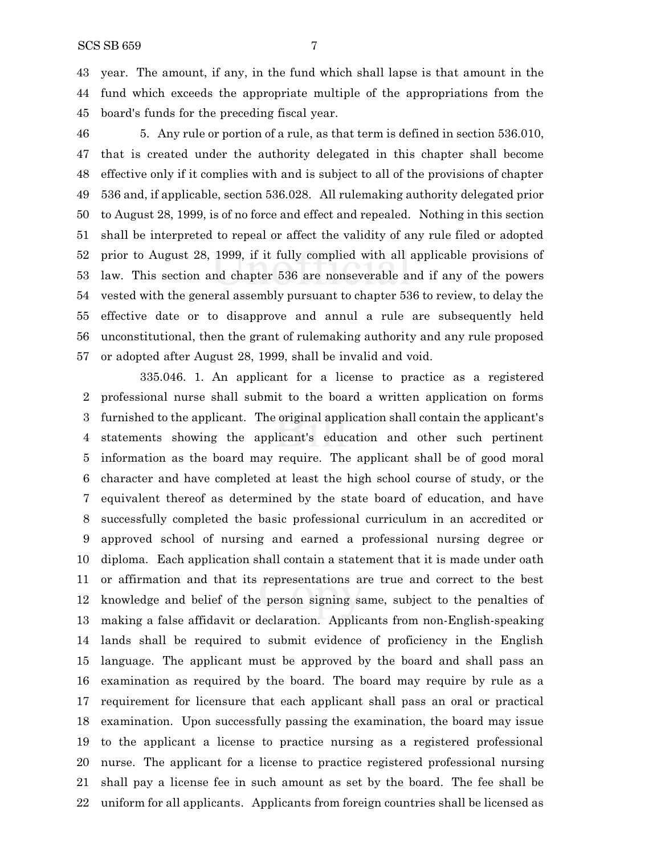year. The amount, if any, in the fund which shall lapse is that amount in the fund which exceeds the appropriate multiple of the appropriations from the board's funds for the preceding fiscal year.

 5. Any rule or portion of a rule, as that term is defined in section 536.010, that is created under the authority delegated in this chapter shall become effective only if it complies with and is subject to all of the provisions of chapter 536 and, if applicable, section 536.028. All rulemaking authority delegated prior to August 28, 1999, is of no force and effect and repealed. Nothing in this section shall be interpreted to repeal or affect the validity of any rule filed or adopted prior to August 28, 1999, if it fully complied with all applicable provisions of law. This section and chapter 536 are nonseverable and if any of the powers vested with the general assembly pursuant to chapter 536 to review, to delay the effective date or to disapprove and annul a rule are subsequently held unconstitutional, then the grant of rulemaking authority and any rule proposed or adopted after August 28, 1999, shall be invalid and void.

335.046. 1. An applicant for a license to practice as a registered professional nurse shall submit to the board a written application on forms furnished to the applicant. The original application shall contain the applicant's statements showing the applicant's education and other such pertinent information as the board may require. The applicant shall be of good moral character and have completed at least the high school course of study, or the equivalent thereof as determined by the state board of education, and have successfully completed the basic professional curriculum in an accredited or approved school of nursing and earned a professional nursing degree or diploma. Each application shall contain a statement that it is made under oath or affirmation and that its representations are true and correct to the best knowledge and belief of the person signing same, subject to the penalties of making a false affidavit or declaration. Applicants from non-English-speaking lands shall be required to submit evidence of proficiency in the English language. The applicant must be approved by the board and shall pass an examination as required by the board. The board may require by rule as a requirement for licensure that each applicant shall pass an oral or practical examination. Upon successfully passing the examination, the board may issue to the applicant a license to practice nursing as a registered professional nurse. The applicant for a license to practice registered professional nursing shall pay a license fee in such amount as set by the board. The fee shall be uniform for all applicants. Applicants from foreign countries shall be licensed as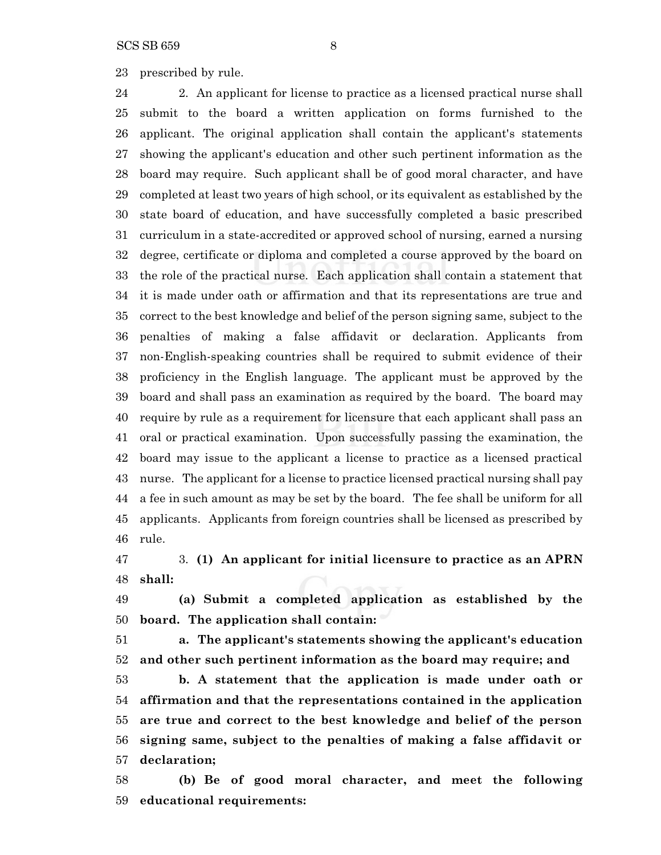prescribed by rule.

 2. An applicant for license to practice as a licensed practical nurse shall submit to the board a written application on forms furnished to the applicant. The original application shall contain the applicant's statements showing the applicant's education and other such pertinent information as the board may require. Such applicant shall be of good moral character, and have completed at least two years of high school, or its equivalent as established by the state board of education, and have successfully completed a basic prescribed curriculum in a state-accredited or approved school of nursing, earned a nursing degree, certificate or diploma and completed a course approved by the board on the role of the practical nurse. Each application shall contain a statement that it is made under oath or affirmation and that its representations are true and correct to the best knowledge and belief of the person signing same, subject to the penalties of making a false affidavit or declaration. Applicants from non-English-speaking countries shall be required to submit evidence of their proficiency in the English language. The applicant must be approved by the board and shall pass an examination as required by the board. The board may require by rule as a requirement for licensure that each applicant shall pass an oral or practical examination. Upon successfully passing the examination, the board may issue to the applicant a license to practice as a licensed practical nurse. The applicant for a license to practice licensed practical nursing shall pay a fee in such amount as may be set by the board. The fee shall be uniform for all applicants. Applicants from foreign countries shall be licensed as prescribed by rule.

 3. **(1) An applicant for initial licensure to practice as an APRN shall:**

 **(a) Submit a completed application as established by the board. The application shall contain:**

 **a. The applicant's statements showing the applicant's education and other such pertinent information as the board may require; and**

 **b. A statement that the application is made under oath or affirmation and that the representations contained in the application are true and correct to the best knowledge and belief of the person signing same, subject to the penalties of making a false affidavit or declaration;**

 **(b) Be of good moral character, and meet the following educational requirements:**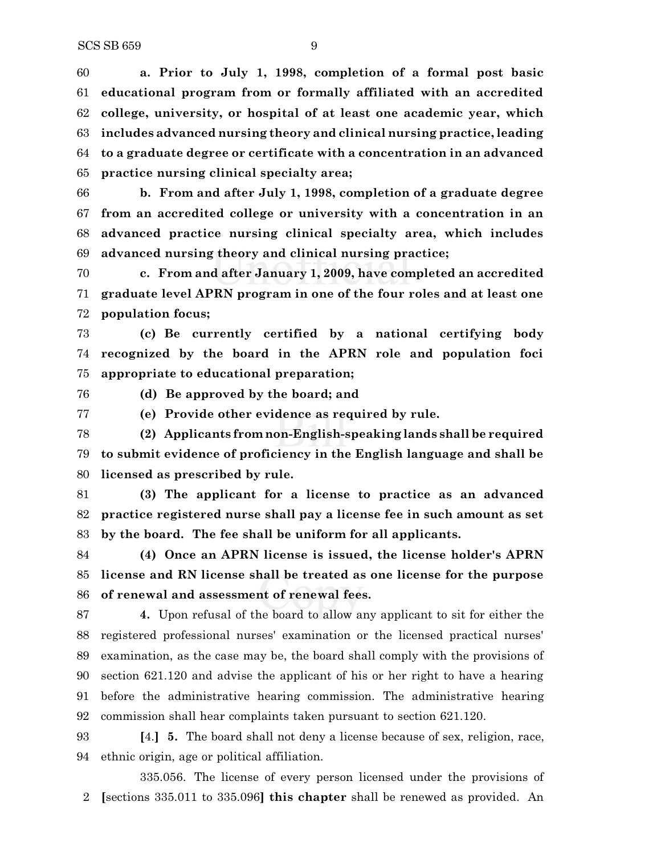**a. Prior to July 1, 1998, completion of a formal post basic educational program from or formally affiliated with an accredited college, university, or hospital of at least one academic year, which includes advanced nursing theory and clinical nursing practice, leading to a graduate degree or certificate with a concentration in an advanced practice nursing clinical specialty area;**

 **b. From and after July 1, 1998, completion of a graduate degree from an accredited college or university with a concentration in an advanced practice nursing clinical specialty area, which includes advanced nursing theory and clinical nursing practice;**

 **c. From and after January 1, 2009, have completed an accredited graduate level APRN program in one of the four roles and at least one population focus;**

 **(c) Be currently certified by a national certifying body recognized by the board in the APRN role and population foci appropriate to educational preparation;**

**(d) Be approved by the board; and**

**(e) Provide other evidence as required by rule.**

 **(2) Applicants from non-English-speaking lands shall be required to submit evidence of proficiency in the English language and shall be licensed as prescribed by rule.**

 **(3) The applicant for a license to practice as an advanced practice registered nurse shall pay a license fee in such amount as set by the board. The fee shall be uniform for all applicants.**

 **(4) Once an APRN license is issued, the license holder's APRN license and RN license shall be treated as one license for the purpose of renewal and assessment of renewal fees.**

 **4.** Upon refusal of the board to allow any applicant to sit for either the registered professional nurses' examination or the licensed practical nurses' examination, as the case may be, the board shall comply with the provisions of section 621.120 and advise the applicant of his or her right to have a hearing before the administrative hearing commission. The administrative hearing commission shall hear complaints taken pursuant to section 621.120.

 **[**4.**] 5.** The board shall not deny a license because of sex, religion, race, ethnic origin, age or political affiliation.

335.056. The license of every person licensed under the provisions of **[**sections 335.011 to 335.096**] this chapter** shall be renewed as provided. An